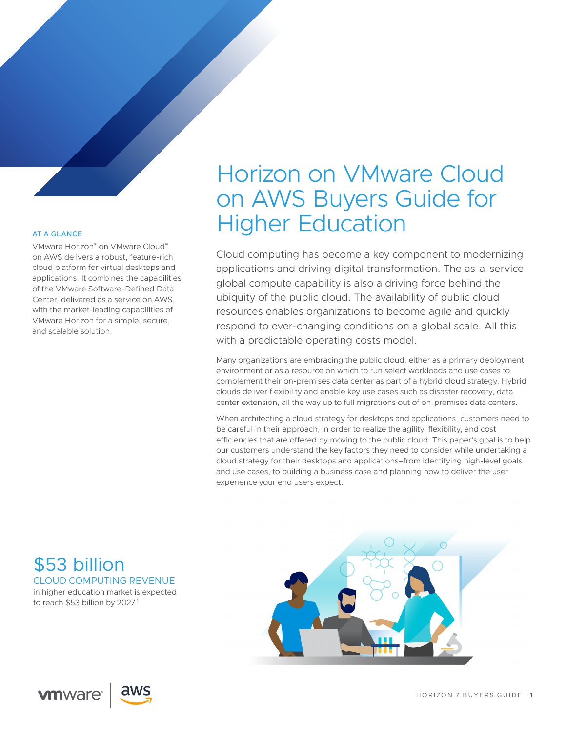# AT A GLANCE

VMware Horizon® on VMware Cloud™ on AWS delivers a robust, feature-rich cloud platform for virtual desktops and applications. It combines the capabilities of the VMware Software-Defined Data Center, delivered as a service on AWS, with the market-leading capabilities of VMware Horizon for a simple, secure, and scalable solution.

# Horizon on VMware Cloud on AWS Buyers Guide for Higher Education

Cloud computing has become a key component to modernizing applications and driving digital transformation. The as-a-service global compute capability is also a driving force behind the ubiquity of the public cloud. The availability of public cloud resources enables organizations to become agile and quickly respond to ever-changing conditions on a global scale. All this with a predictable operating costs model.

Many organizations are embracing the public cloud, either as a primary deployment environment or as a resource on which to run select workloads and use cases to complement their on-premises data center as part of a hybrid cloud strategy. Hybrid clouds deliver flexibility and enable key use cases such as disaster recovery, data center extension, all the way up to full migrations out of on-premises data centers.

When architecting a cloud strategy for desktops and applications, customers need to be careful in their approach, in order to realize the agility, flexibility, and cost efficiencies that are offered by moving to the public cloud. This paper's goal is to help our customers understand the key factors they need to consider while undertaking a cloud strategy for their desktops and applications–from identifying high-level goals and use cases, to building a business case and planning how to deliver the user experience your end users expect.

CLOUD COMPUTING REVENUE in higher education market is expected to reach \$53 billion by 2027.<sup>1</sup> \$53 billion

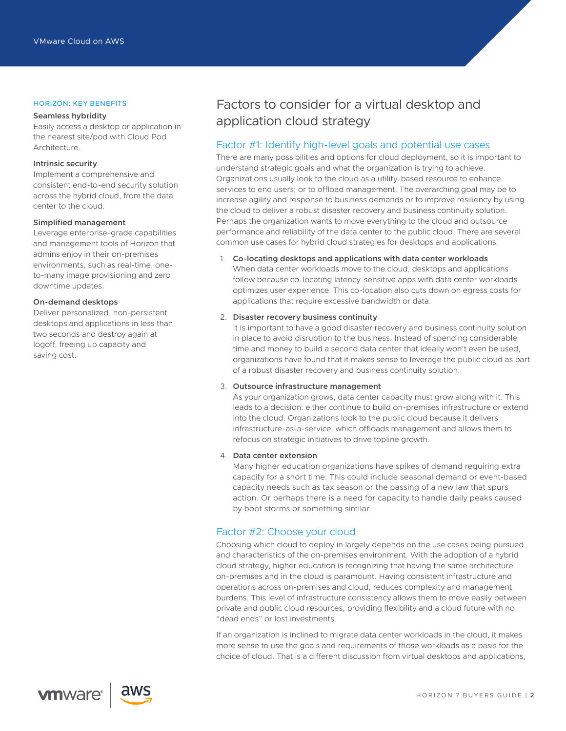#### HORIZON: KEY BENEFITS

#### **Seamless hybridity**

Easily access a desktop or application in the nearest site/pod with Cloud Pod Architecture.

# **Intrinsic security**

Implement a comprehensive and consistent end-to-end security solution across the hybrid cloud, from the data center to the cloud.

#### **Simplified management**

Leverage enterprise-grade capabilities and management tools of Horizon that admins enjoy in their on-premises environments, such as real-time, oneto-many image provisioning and zero downtime updates.

# **On-demand desktops**

Deliver personalized, non-persistent desktops and applications in less than two seconds and destroy again at logoff, freeing up capacity and saving cost.

# Factors to consider for a virtual desktop and application cloud strategy

# Factor #1: Identify high-level goals and potential use cases

There are many possibilities and options for cloud deployment, so it is important to understand strategic goals and what the organization is trying to achieve. Organizations usually look to the cloud as a utility-based resource to enhance services to end users; or to offload management. The overarching goal may be to increase agility and response to business demands or to improve resiliency by using the cloud to deliver a robust disaster recovery and business continuity solution. Perhaps the organization wants to move everything to the cloud and outsource performance and reliability of the data center to the public cloud. There are several common use cases for hybrid cloud strategies for desktops and applications:

### 1. **Co-locating desktops and applications with data center workloads**

When data center workloads move to the cloud, desktops and applications follow because co-locating latency-sensitive apps with data center workloads optimizes user experience. This co-location also cuts down on egress costs for applications that require excessive bandwidth or data.

#### 2. **Disaster recovery business continuity**

It is important to have a good disaster recovery and business continuity solution in place to avoid disruption to the business. Instead of spending considerable time and money to build a second data center that ideally won't even be used, organizations have found that it makes sense to leverage the public cloud as part of a robust disaster recovery and business continuity solution.

#### 3. **Outsource infrastructure management**

As your organization grows, data center capacity must grow along with it. This leads to a decision: either continue to build on-premises infrastructure or extend into the cloud. Organizations look to the public cloud because it delivers infrastructure-as-a-service, which offloads management and allows them to refocus on strategic initiatives to drive topline growth.

# 4. **Data center extension**

Many higher education organizations have spikes of demand requiring extra capacity for a short time. This could include seasonal demand or event-based capacity needs such as tax season or the passing of a new law that spurs action. Or perhaps there is a need for capacity to handle daily peaks caused by boot storms or something similar.

# Factor #2: Choose your cloud

Choosing which cloud to deploy in largely depends on the use cases being pursued and characteristics of the on-premises environment. With the adoption of a hybrid cloud strategy, higher education is recognizing that having the same architecture on-premises and in the cloud is paramount. Having consistent infrastructure and operations across on-premises and cloud, reduces complexity and management burdens. This level of infrastructure consistency allows them to move easily between private and public cloud resources, providing flexibility and a cloud future with no "dead ends" or lost investments.

If an organization is inclined to migrate data center workloads in the cloud, it makes more sense to use the goals and requirements of those workloads as a basis for the choice of cloud. That is a different discussion from virtual desktops and applications,

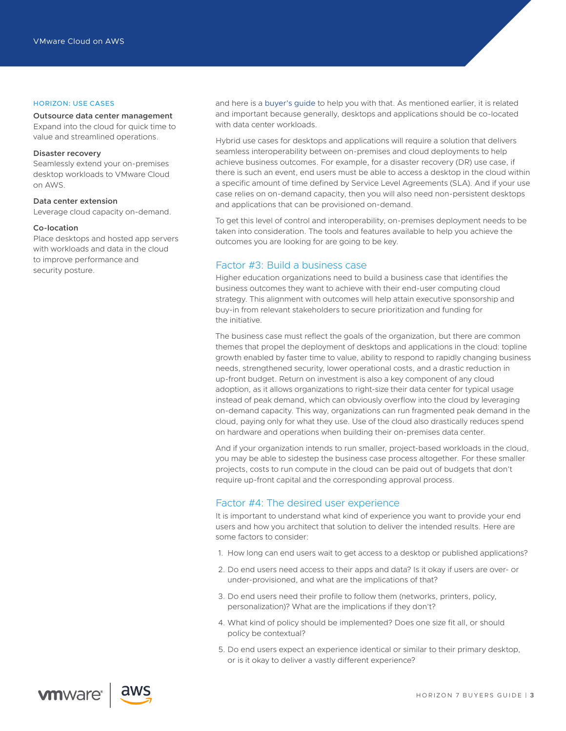#### HORIZON: USE CASES

#### **Outsource data center management**

Expand into the cloud for quick time to value and streamlined operations.

# **Disaster recovery**

Seamlessly extend your on-premises desktop workloads to VMware Cloud on AWS.

#### **Data center extension**

Leverage cloud capacity on-demand.

#### **Co-location**

Place desktops and hosted app servers with workloads and data in the cloud to improve performance and security posture.

and here is a [buyer's guide](https://assets.contentstack.io/v3/assets/blt58b49a8a0e43b5ff/blt4be67647b4affdc6/5c9ea51ace43ee193330fd01/Cloud_Migration_VMware_Cloud_on_AWS_Buyers_Guide.pdf) to help you with that. As mentioned earlier, it is related and important because generally, desktops and applications should be co-located with data center workloads.

Hybrid use cases for desktops and applications will require a solution that delivers seamless interoperability between on-premises and cloud deployments to help achieve business outcomes. For example, for a disaster recovery (DR) use case, if there is such an event, end users must be able to access a desktop in the cloud within a specific amount of time defined by Service Level Agreements (SLA). And if your use case relies on on-demand capacity, then you will also need non-persistent desktops and applications that can be provisioned on-demand.

To get this level of control and interoperability, on-premises deployment needs to be taken into consideration. The tools and features available to help you achieve the outcomes you are looking for are going to be key.

# Factor #3: Build a business case

Higher education organizations need to build a business case that identifies the business outcomes they want to achieve with their end-user computing cloud strategy. This alignment with outcomes will help attain executive sponsorship and buy-in from relevant stakeholders to secure prioritization and funding for the initiative.

The business case must reflect the goals of the organization, but there are common themes that propel the deployment of desktops and applications in the cloud: topline growth enabled by faster time to value, ability to respond to rapidly changing business needs, strengthened security, lower operational costs, and a drastic reduction in up-front budget. Return on investment is also a key component of any cloud adoption, as it allows organizations to right-size their data center for typical usage instead of peak demand, which can obviously overflow into the cloud by leveraging on-demand capacity. This way, organizations can run fragmented peak demand in the cloud, paying only for what they use. Use of the cloud also drastically reduces spend on hardware and operations when building their on-premises data center.

And if your organization intends to run smaller, project-based workloads in the cloud, you may be able to sidestep the business case process altogether. For these smaller projects, costs to run compute in the cloud can be paid out of budgets that don't require up-front capital and the corresponding approval process.

#### Factor #4: The desired user experience

It is important to understand what kind of experience you want to provide your end users and how you architect that solution to deliver the intended results. Here are some factors to consider:

- 1. How long can end users wait to get access to a desktop or published applications?
- 2. Do end users need access to their apps and data? Is it okay if users are over- or under-provisioned, and what are the implications of that?
- 3. Do end users need their profile to follow them (networks, printers, policy, personalization)? What are the implications if they don't?
- 4. What kind of policy should be implemented? Does one size fit all, or should policy be contextual?
- 5. Do end users expect an experience identical or similar to their primary desktop, or is it okay to deliver a vastly different experience?